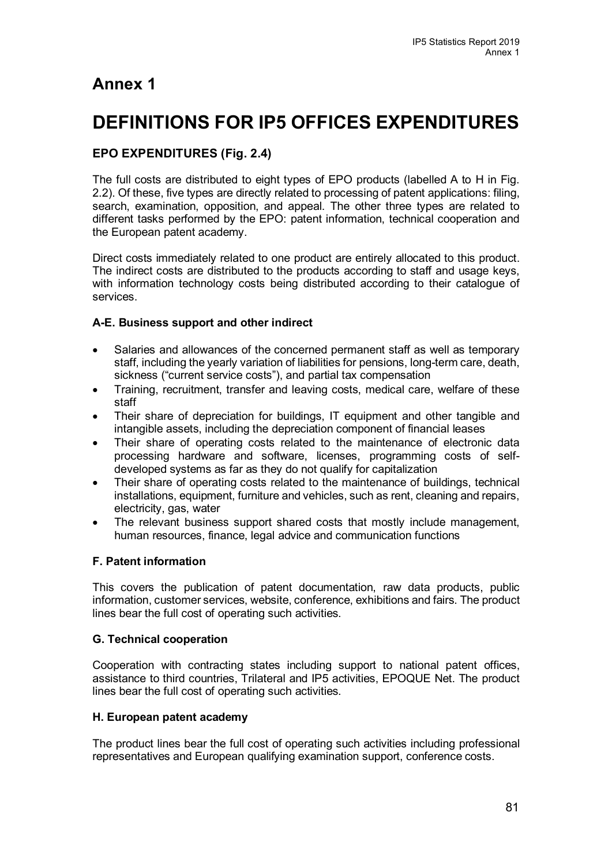## **Annex 1**

# **DEFINITIONS FOR IP5 OFFICES EXPENDITURES**

## **EPO EXPENDITURES (Fig. 2.4)**

The full costs are distributed to eight types of EPO products (labelled A to H in Fig. 2.2). Of these, five types are directly related to processing of patent applications: filing, search, examination, opposition, and appeal. The other three types are related to different tasks performed by the EPO: patent information, technical cooperation and the European patent academy.

Direct costs immediately related to one product are entirely allocated to this product. The indirect costs are distributed to the products according to staff and usage keys, with information technology costs being distributed according to their catalogue of services.

## **A-E. Business support and other indirect**

- Salaries and allowances of the concerned permanent staff as well as temporary staff, including the yearly variation of liabilities for pensions, long-term care, death, sickness ("current service costs"), and partial tax compensation
- Training, recruitment, transfer and leaving costs, medical care, welfare of these staff
- Their share of depreciation for buildings, IT equipment and other tangible and intangible assets, including the depreciation component of financial leases
- Their share of operating costs related to the maintenance of electronic data processing hardware and software, licenses, programming costs of selfdeveloped systems as far as they do not qualify for capitalization
- Their share of operating costs related to the maintenance of buildings, technical installations, equipment, furniture and vehicles, such as rent, cleaning and repairs, electricity, gas, water
- The relevant business support shared costs that mostly include management, human resources, finance, legal advice and communication functions

## **F. Patent information**

This covers the publication of patent documentation, raw data products, public information, customer services, website, conference, exhibitions and fairs. The product lines bear the full cost of operating such activities.

## **G. Technical cooperation**

Cooperation with contracting states including support to national patent offices, assistance to third countries, Trilateral and IP5 activities, EPOQUE Net. The product lines bear the full cost of operating such activities.

## **H. European patent academy**

The product lines bear the full cost of operating such activities including professional representatives and European qualifying examination support, conference costs.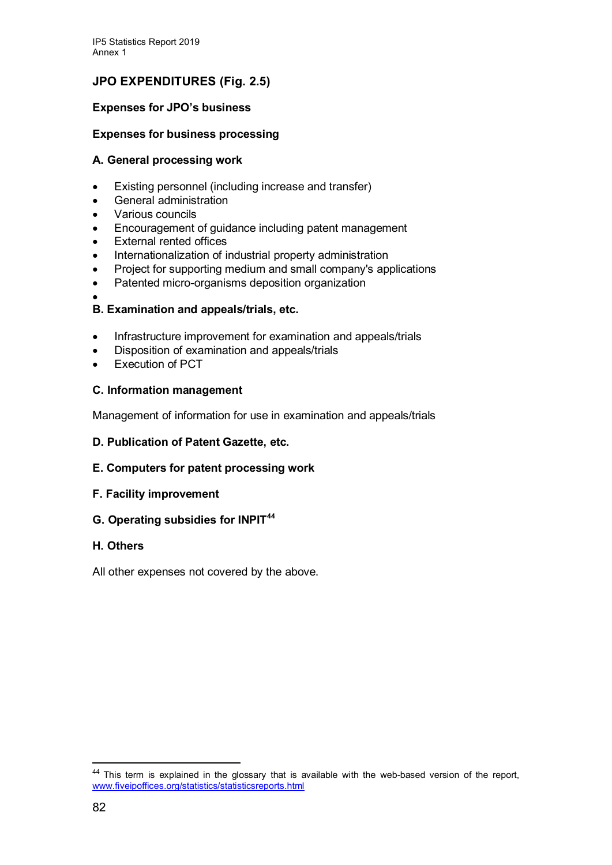## **JPO EXPENDITURES (Fig. 2.5)**

## **Expenses for JPO's business**

## **Expenses for business processing**

## **A. General processing work**

- Existing personnel (including increase and transfer)
- General administration
- Various councils
- Encouragement of guidance including patent management
- **External rented offices**
- Internationalization of industrial property administration
- Project for supporting medium and small company's applications
- Patented micro-organisms deposition organization
- •

## **B. Examination and appeals/trials, etc.**

- Infrastructure improvement for examination and appeals/trials
- Disposition of examination and appeals/trials
- **Execution of PCT**

## **C. Information management**

Management of information for use in examination and appeals/trials

## **D. Publication of Patent Gazette, etc.**

## **E. Computers for patent processing work**

## **F. Facility improvement**

## **G. Operating subsidies for INPIT[44](#page-1-0)**

## **H. Others**

All other expenses not covered by the above.

<span id="page-1-0"></span><sup>&</sup>lt;sup>44</sup> This term is explained in the glossary that is available with the web-based version of the report, [www.fiveipoffices.org/statistics/statisticsreports.html](http://www.fiveipoffices.org/statistics/statisticsreports.html)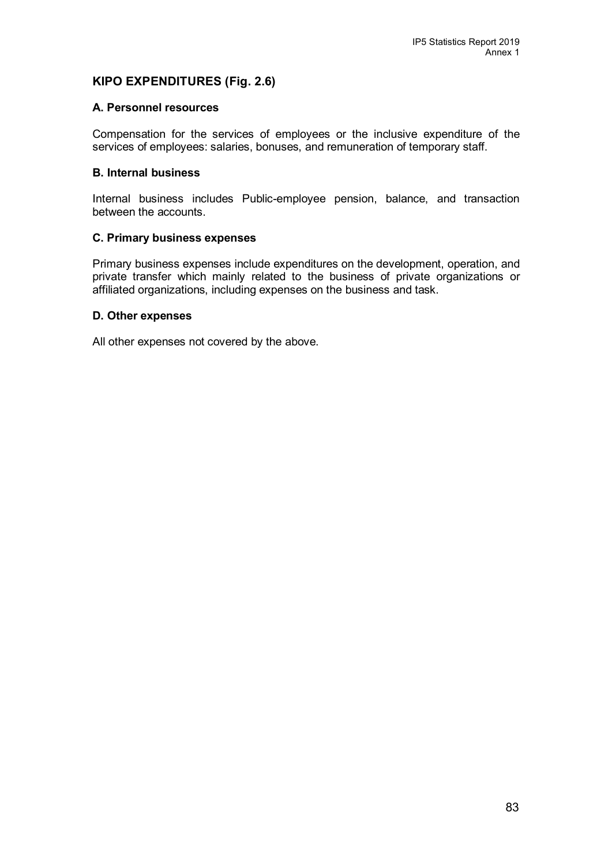## **KIPO EXPENDITURES (Fig. 2.6)**

#### **A. Personnel resources**

Compensation for the services of employees or the inclusive expenditure of the services of employees: salaries, bonuses, and remuneration of temporary staff.

#### **B. Internal business**

Internal business includes Public-employee pension, balance, and transaction between the accounts.

#### **C. Primary business expenses**

Primary business expenses include expenditures on the development, operation, and private transfer which mainly related to the business of private organizations or affiliated organizations, including expenses on the business and task.

#### **D. Other expenses**

All other expenses not covered by the above.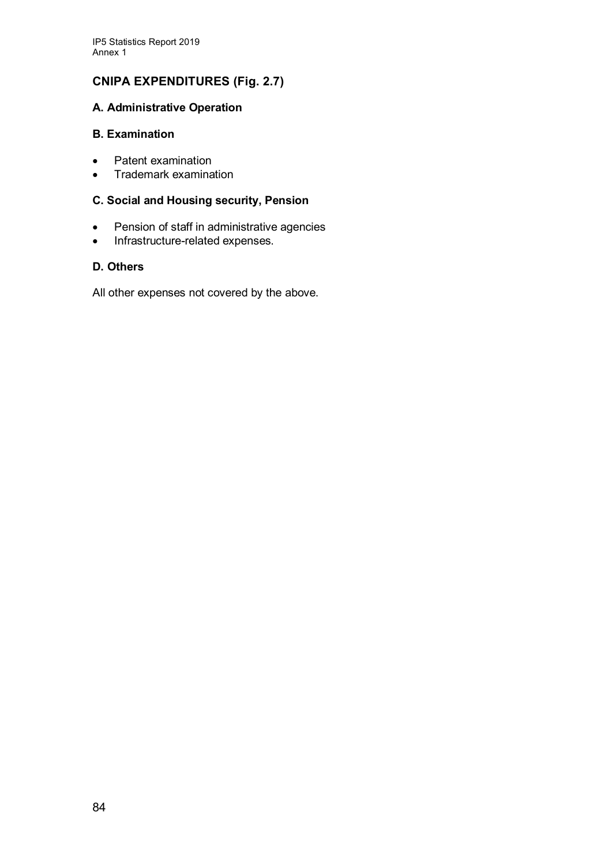## **CNIPA EXPENDITURES (Fig. 2.7)**

## **A. Administrative Operation**

#### **B. Examination**

- Patent examination<br>• Trademark examina
- Trademark examination

## **C. Social and Housing security, Pension**

- Pension of staff in administrative agencies
- Infrastructure-related expenses.

## **D. Others**

All other expenses not covered by the above.